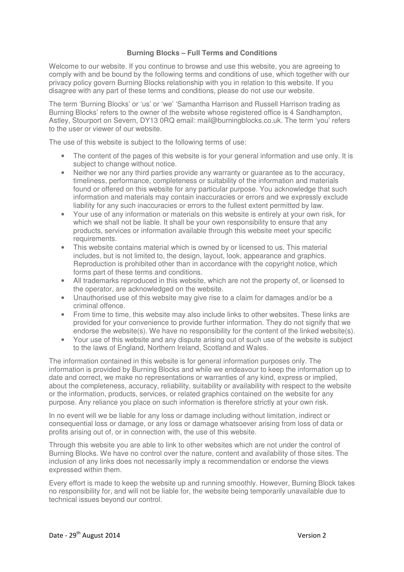# **Burning Blocks – Full Terms and Conditions**

Welcome to our website. If you continue to browse and use this website, you are agreeing to comply with and be bound by the following terms and conditions of use, which together with our privacy policy govern Burning Blocks relationship with you in relation to this website. If you disagree with any part of these terms and conditions, please do not use our website.

The term 'Burning Blocks' or 'us' or 'we' 'Samantha Harrison and Russell Harrison trading as Burning Blocks' refers to the owner of the website whose registered office is 4 Sandhampton, Astley, Stourport on Severn, DY13 0RQ email: mail@burningblocks.co.uk. The term 'you' refers to the user or viewer of our website.

The use of this website is subject to the following terms of use:

- The content of the pages of this website is for your general information and use only. It is subject to change without notice.
- Neither we nor any third parties provide any warranty or quarantee as to the accuracy, timeliness, performance, completeness or suitability of the information and materials found or offered on this website for any particular purpose. You acknowledge that such information and materials may contain inaccuracies or errors and we expressly exclude liability for any such inaccuracies or errors to the fullest extent permitted by law.
- Your use of any information or materials on this website is entirely at your own risk, for which we shall not be liable. It shall be your own responsibility to ensure that any products, services or information available through this website meet your specific requirements.
- This website contains material which is owned by or licensed to us. This material includes, but is not limited to, the design, layout, look, appearance and graphics. Reproduction is prohibited other than in accordance with the copyright notice, which forms part of these terms and conditions.
- All trademarks reproduced in this website, which are not the property of, or licensed to the operator, are acknowledged on the website.
- Unauthorised use of this website may give rise to a claim for damages and/or be a criminal offence.
- From time to time, this website may also include links to other websites. These links are provided for your convenience to provide further information. They do not signify that we endorse the website(s). We have no responsibility for the content of the linked website(s).
- Your use of this website and any dispute arising out of such use of the website is subject to the laws of England, Northern Ireland, Scotland and Wales.

The information contained in this website is for general information purposes only. The information is provided by Burning Blocks and while we endeavour to keep the information up to date and correct, we make no representations or warranties of any kind, express or implied, about the completeness, accuracy, reliability, suitability or availability with respect to the website or the information, products, services, or related graphics contained on the website for any purpose. Any reliance you place on such information is therefore strictly at your own risk.

In no event will we be liable for any loss or damage including without limitation, indirect or consequential loss or damage, or any loss or damage whatsoever arising from loss of data or profits arising out of, or in connection with, the use of this website.

Through this website you are able to link to other websites which are not under the control of Burning Blocks. We have no control over the nature, content and availability of those sites. The inclusion of any links does not necessarily imply a recommendation or endorse the views expressed within them.

Every effort is made to keep the website up and running smoothly. However, Burning Block takes no responsibility for, and will not be liable for, the website being temporarily unavailable due to technical issues beyond our control.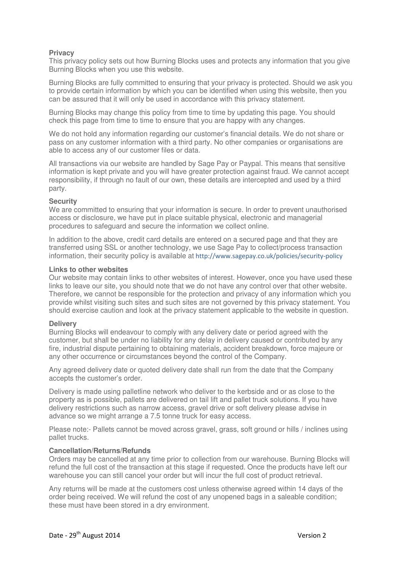## **Privacy**

This privacy policy sets out how Burning Blocks uses and protects any information that you give Burning Blocks when you use this website.

Burning Blocks are fully committed to ensuring that your privacy is protected. Should we ask you to provide certain information by which you can be identified when using this website, then you can be assured that it will only be used in accordance with this privacy statement.

Burning Blocks may change this policy from time to time by updating this page. You should check this page from time to time to ensure that you are happy with any changes.

We do not hold any information regarding our customer's financial details. We do not share or pass on any customer information with a third party. No other companies or organisations are able to access any of our customer files or data.

All transactions via our website are handled by Sage Pay or Paypal. This means that sensitive information is kept private and you will have greater protection against fraud. We cannot accept responsibility, if through no fault of our own, these details are intercepted and used by a third party.

#### **Security**

We are committed to ensuring that your information is secure. In order to prevent unauthorised access or disclosure, we have put in place suitable physical, electronic and managerial procedures to safeguard and secure the information we collect online.

In addition to the above, credit card details are entered on a secured page and that they are transferred using SSL or another technology, we use Sage Pay to collect/process transaction information, their security policy is available at http://www.sagepay.co.uk/policies/security-policy

#### **Links to other websites**

Our website may contain links to other websites of interest. However, once you have used these links to leave our site, you should note that we do not have any control over that other website. Therefore, we cannot be responsible for the protection and privacy of any information which you provide whilst visiting such sites and such sites are not governed by this privacy statement. You should exercise caution and look at the privacy statement applicable to the website in question.

## **Delivery**

Burning Blocks will endeavour to comply with any delivery date or period agreed with the customer, but shall be under no liability for any delay in delivery caused or contributed by any fire, industrial dispute pertaining to obtaining materials, accident breakdown, force majeure or any other occurrence or circumstances beyond the control of the Company.

Any agreed delivery date or quoted delivery date shall run from the date that the Company accepts the customer's order.

Delivery is made using palletline network who deliver to the kerbside and or as close to the property as is possible, pallets are delivered on tail lift and pallet truck solutions. If you have delivery restrictions such as narrow access, gravel drive or soft delivery please advise in advance so we might arrange a 7.5 tonne truck for easy access.

Please note:- Pallets cannot be moved across gravel, grass, soft ground or hills / inclines using pallet trucks.

## **Cancellation/Returns/Refunds**

Orders may be cancelled at any time prior to collection from our warehouse. Burning Blocks will refund the full cost of the transaction at this stage if requested. Once the products have left our warehouse you can still cancel your order but will incur the full cost of product retrieval.

Any returns will be made at the customers cost unless otherwise agreed within 14 days of the order being received. We will refund the cost of any unopened bags in a saleable condition; these must have been stored in a dry environment.